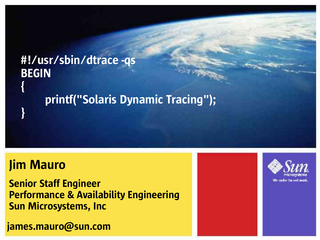#### #!/usr/sbin/dtrace -qs BEGIN { printf("Solaris Dynamic Tracing"); }

#### Jim Mauro

Senior Staff Engineer Performance & Availability Engineering Sun Microsystems, Inc

james.mauro@sun.com

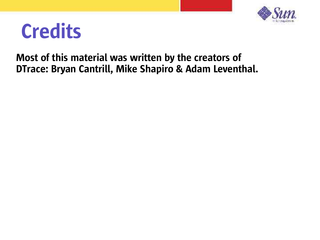

#### Credits

#### Most of this material was written by the creators of DTrace: Bryan Cantrill, Mike Shapiro & Adam Leventhal.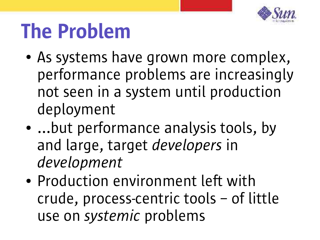

## The Problem

- As systems have grown more complex, performance problems are increasingly not seen in a system until production deployment
- ...but performance analysis tools, by and large, target *developers* in *development*
- Production environment left with crude, process-centric tools – of little use on *systemic* problems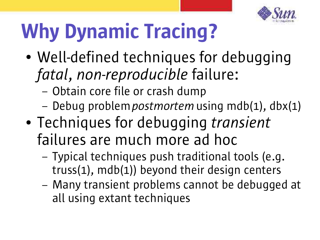

# Why Dynamic Tracing?

- Well-defined techniques for debugging *fatal*, *non-reproducible* failure:
	- Obtain core file or crash dump
	- Debug problem *postmortem* using mdb(1), dbx(1)
- Techniques for debugging *transient* failures are much more ad hoc
	- Typical techniques push traditional tools (e.g. truss(1), mdb(1)) beyond their design centers
	- Many transient problems cannot be debugged at all using extant techniques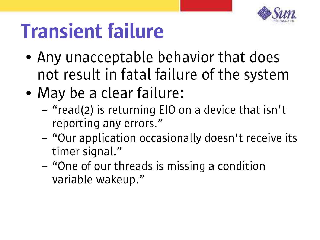

# Transient failure

- Any unacceptable behavior that does not result in fatal failure of the system
- May be a clear failure:
	- "read(2) is returning EIO on a device that isn't reporting any errors."
	- "Our application occasionally doesn't receive its timer signal."
	- "One of our threads is missing a condition variable wakeup."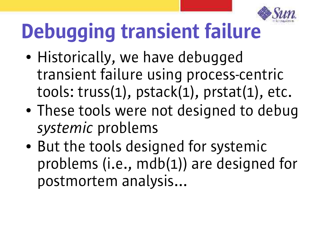

# Debugging transient failure

- Historically, we have debugged transient failure using process-centric tools: truss(1), pstack(1), prstat(1), etc.
- These tools were not designed to debug *systemic* problems
- But the tools designed for systemic problems (i.e., mdb(1)) are designed for postmortem analysis...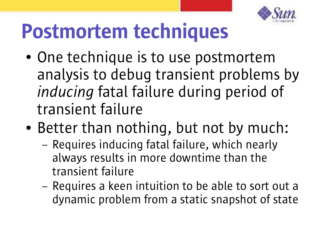

# Postmortem techniques

- One technique is to use postmortem analysis to debug transient problems by *inducing* fatal failure during period of transient failure
- Better than nothing, but not by much:
	- Requires inducing fatal failure, which nearly always results in more downtime than the transient failure
	- Requires a keen intuition to be able to sort out a dynamic problem from a static snapshot of state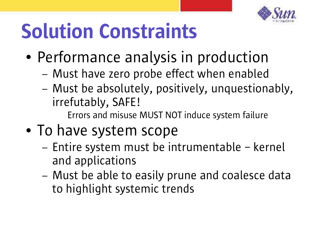

# Solution Constraints

- Performance analysis in production
	- Must have zero probe effect when enabled
	- Must be absolutely, positively, unquestionably, irrefutably, SAFE!

Errors and misuse MUST NOT induce system failure

- To have system scope
	- Entire system must be intrumentable kernel and applications
	- Must be able to easily prune and coalesce data to highlight systemic trends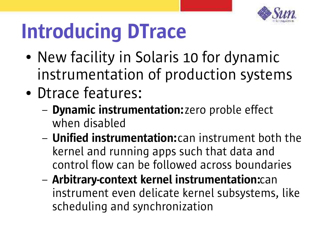

# Introducing DTrace

- New facility in Solaris 10 for dynamic instrumentation of production systems
- Dtrace features:
	- Dynamic instrumentation: zero proble effect when disabled
	- Unified instrumentation: can instrument both the kernel and running apps such that data and control flow can be followed across boundaries
	- Arbitrary-context kernel instrumentation:can instrument even delicate kernel subsystems, like scheduling and synchronization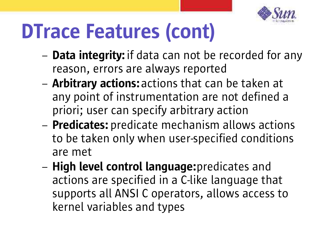

# DTrace Features (cont)

- **Data integrity:** if data can not be recorded for any reason, errors are always reported
- **Arbitrary actions:** actions that can be taken at any point of instrumentation are not defined a priori; user can specify arbitrary action
- **Predicates:** predicate mechanism allows actions to be taken only when user-specified conditions are met
- High level control language: predicates and actions are specified in a C-like language that supports all ANSI C operators, allows access to kernel variables and types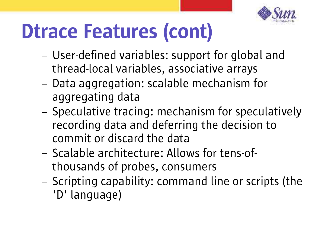

# Dtrace Features (cont)

- User-defined variables: support for global and thread-local variables, associative arrays
- Data aggregation: scalable mechanism for aggregating data
- Speculative tracing: mechanism for speculatively recording data and deferring the decision to commit or discard the data
- Scalable architecture: Allows for tens-ofthousands of probes, consumers
- Scripting capability: command line or scripts (the 'D' language)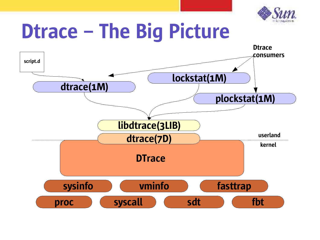

#### Dtrace – The Big Picture

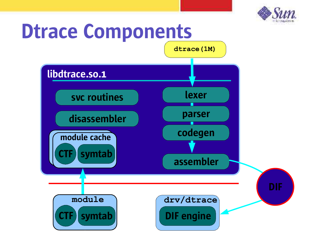

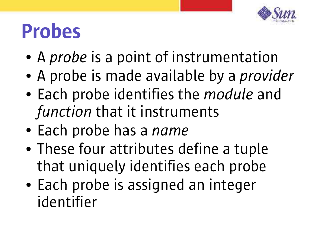

## Probes

- A *probe* is a point of instrumentation
- A probe is made available by a *provider*
- Each probe identifies the *module* and *function* that it instruments
- Each probe has a *name*
- These four attributes define a tuple that uniquely identifies each probe
- Each probe is assigned an integer identifier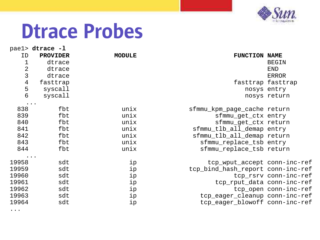

#### Dtrace Probes

|                         | pael> dtrace -1                   |               |                                   |                       |
|-------------------------|-----------------------------------|---------------|-----------------------------------|-----------------------|
| ID                      | <b>PROVIDER</b>                   | <b>MODULE</b> | <b>FUNCTION NAME</b>              |                       |
| $\mathbf 1$             | dtrace                            |               |                                   | <b>BEGIN</b>          |
| $\overline{\mathbf{c}}$ | dtrace                            |               |                                   | <b>END</b>            |
| 3                       | dtrace                            |               |                                   | <b>ERROR</b>          |
| $\overline{4}$          | fasttrap                          |               | fasttrap fasttrap                 |                       |
| 5                       | syscall                           |               | nosys entry                       |                       |
| $\sigma$                | syscall                           |               |                                   | nosys return          |
|                         | $\bullet\quad\bullet\quad\bullet$ |               |                                   |                       |
| 838                     | fbt                               | unix          | sfmmu_kpm_page_cache return       |                       |
| 839                     | fbt                               | unix          | sfmmu_get_ctx entry               |                       |
| 840                     | fbt                               | unix          | sfmmu_get_ctx return              |                       |
| 841                     | fbt                               | unix          | sfmmu_tlb_all_demap entry         |                       |
| 842                     | fbt                               | unix          | sfmmu_tlb_all_demap return        |                       |
| 843                     | fbt                               | unix          | sfmmu_replace_tsb entry           |                       |
| 844                     | fbt                               | unix          | sfmmu_replace_tsb return          |                       |
|                         | $\ddotsc$                         |               |                                   |                       |
| 19958                   | sdt                               | ip            | tcp_wput_accept conn-inc-ref      |                       |
| 19959                   | sdt                               | ip            | tcp_bind_hash_report conn-inc-ref |                       |
| 19960                   | sdt                               | ip            |                                   | tcp_rsrv conn-inc-ref |
| 19961                   | sdt                               | ip            | tcp_rput_data conn-inc-ref        |                       |
| 19962                   | sdt                               | ip            |                                   | tcp_open conn-inc-ref |
| 19963                   | sdt                               | ip            | tcp_eager_cleanup conn-inc-ref    |                       |
| 19964                   | sdt                               | ip            | tcp_eager_blowoff conn-inc-ref    |                       |

...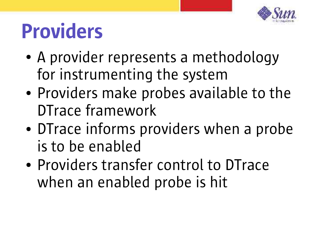

# Providers

- A provider represents a methodology for instrumenting the system
- Providers make probes available to the DTrace framework
- DTrace informs providers when a probe is to be enabled
- Providers transfer control to DTrace when an enabled probe is hit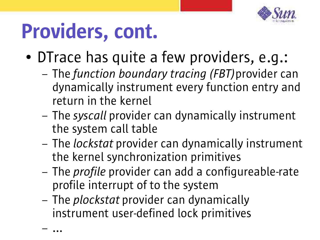

# Providers, cont.

– ...

- DTrace has quite a few providers, e.g.:
	- The *function boundary tracing (FBT)* provider can dynamically instrument every function entry and return in the kernel
	- The *syscall* provider can dynamically instrument the system call table
	- The *lockstat* provider can dynamically instrument the kernel synchronization primitives
	- The *profile* provider can add a configureable-rate profile interrupt of to the system
	- The *plockstat* provider can dynamically instrument user-defined lock primitives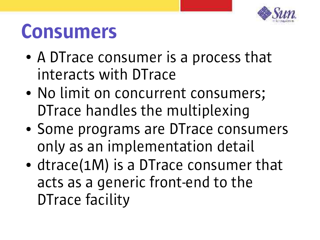

## Consumers

- A DTrace consumer is a process that interacts with DTrace
- No limit on concurrent consumers; DTrace handles the multiplexing
- Some programs are DTrace consumers only as an implementation detail
- dtrace(1M) is a DTrace consumer that acts as a generic front-end to the DTrace facility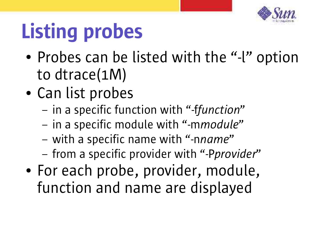

# Listing probes

- Probes can be listed with the "-l" option to dtrace(1M)
- Can list probes
	- in a specific function with "-f *function*"
	- in a specific module with "-m *module*"
	- with a specific name with "-n *name*"
	- from a specific provider with "-P*provider*"
- For each probe, provider, module, function and name are displayed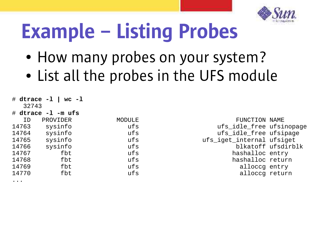

# Example – Listing Probes

- How many probes on your system?
- List all the probes in the UFS module

| 32743 | # dtrace -1   wc -1 |  |
|-------|---------------------|--|
|       | # dtrace -1 -m ufs  |  |
| ΙD    | PROVIDER            |  |
| 14763 | sysinfo             |  |
| 14764 | sysinfo             |  |
| 14765 | sysinfo             |  |
| 14766 | sysinfo             |  |
| 14767 | fbt                 |  |
| 14768 | fbt                 |  |
| 14769 | fbt                 |  |
| 14770 | fbt                 |  |
|       |                     |  |

ID PROVIDER MODULE FUNCTION NAME ufs idle\_free ufsinopage ufs ufs ufs\_idle\_free ufsipage ufs systems ufs\_iget\_internal ufsiget ufs blkatoff ufsdirblk ufs hashalloc entry ufs hashalloc return ufs alloccq entry ufs alloccq return

...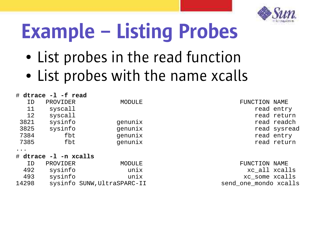

# Example – Listing Probes

- List probes in the read function
- List probes with the name xcalls

|           | # dtrace -1 -f read        |                             |                       |              |
|-----------|----------------------------|-----------------------------|-----------------------|--------------|
| ID        | PROVIDER                   | MODULE                      | FUNCTION NAME         |              |
| 11        | syscall                    |                             | read entry            |              |
| 12        | syscall                    |                             | read return           |              |
| 3821      | sysinfo                    | genunix                     | read readch           |              |
| 3825      | sysinfo                    | genunix                     |                       | read sysread |
| 7384      | fbt                        | genunix                     | read entry            |              |
| 7385      | fbt                        | genunix                     | read return           |              |
| $\ddotsc$ |                            |                             |                       |              |
|           | $\#$ dtrace $-1$ -n xcalls |                             |                       |              |
| ID.       | PROVIDER                   | MODULE                      | FUNCTION NAME         |              |
| 492       | sysinfo                    | unix                        | xc_all_xcalls         |              |
| 493       | sysinfo                    | unix                        | xc_some xcalls        |              |
| 14298     |                            | sysinfo SUNW, UltraSPARC-II | send_one_mondo xcalls |              |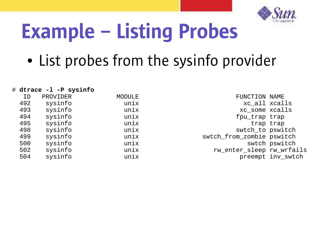

## Example – Listing Probes

#### • List probes from the sysinfo provider

#### # **dtrace -l -P sysinfo**

| ID  | PROVIDER | MODULE | FUNCTION NAME             |                   |
|-----|----------|--------|---------------------------|-------------------|
| 492 | sysinfo  | unix   | xc_all_xcalls             |                   |
| 493 | sysinfo  | unix   | xc_some xcalls            |                   |
| 494 | sysinfo  | unix   | fpu_trap trap             |                   |
| 495 | sysinfo  | unix   | trap trap                 |                   |
| 498 | sysinfo  | unix   | swtch to pswitch          |                   |
| 499 | sysinfo  | unix   | swtch_from_zombie pswitch |                   |
| 500 | sysinfo  | unix   |                           | swtch pswitch     |
| 502 | sysinfo  | unix   | rw enter sleep rw wrfails |                   |
| 504 | sysinfo  | unix   |                           | preempt inv_swtch |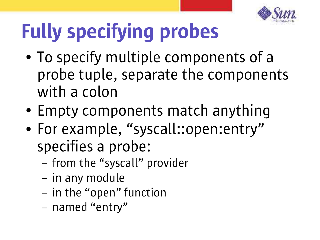

# Fully specifying probes

- To specify multiple components of a probe tuple, separate the components with a colon
- Empty components match anything
- For example, "syscall::open:entry" specifies a probe:
	- from the "syscall" provider
	- in any module
	- in the "open" function
	- named "entry"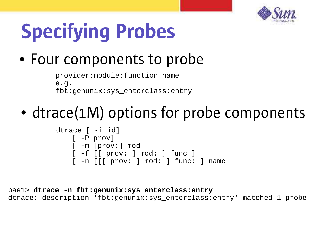

# Specifying Probes

• Four components to probe

provider:module:function:name e.g. fbt:genunix:sys\_enterclass:entry

#### • dtrace(1M) options for probe components

```
dtrace [ -i id]
    [ -P prov]
    [ -m [prov:] mod ]
    [ -f [[ prov: ] mod: ] func ]
    [ -n [[ [ prov: ] mod: ] func: ] name
```
pae1> **dtrace -n fbt:genunix:sys\_enterclass:entry** dtrace: description 'fbt:genunix:sys\_enterclass:entry' matched 1 probe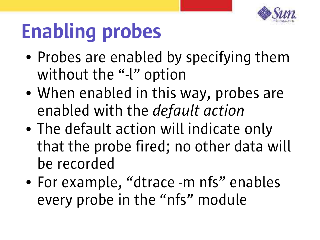

# Enabling probes

- Probes are enabled by specifying them without the "-l" option
- When enabled in this way, probes are enabled with the *default action*
- The default action will indicate only that the probe fired; no other data will be recorded
- For example, "dtrace -m nfs" enables every probe in the "nfs" module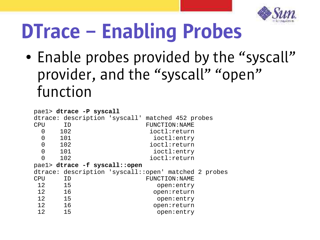

# DTrace – Enabling Probes

• Enable probes provided by the "syscall" provider, and the "syscall" "open" function

|                   | pael> dtrace -P syscall       |                                                  |                                                      |
|-------------------|-------------------------------|--------------------------------------------------|------------------------------------------------------|
|                   |                               | dtrace: description 'syscall' matched 452 probes |                                                      |
| <b>CPU</b>        | TD                            |                                                  | FUNCTION: NAME                                       |
| 0                 | 102                           |                                                  | ioctl:return                                         |
| $\Omega$          | 101                           |                                                  | ioctl:entry                                          |
| $\overline{0}$    | 102                           |                                                  | ioctl:return                                         |
| $\overline{0}$    | 101                           |                                                  | ioctl:entry                                          |
| $\Omega$          | 102                           |                                                  | ioctl:return                                         |
|                   | pael> dtrace -f syscall::open |                                                  |                                                      |
|                   |                               |                                                  | dtrace: description 'syscall::open' matched 2 probes |
| CPU               | TD                            |                                                  | FUNCTION: NAME                                       |
| 12 <sup>°</sup>   | 15                            |                                                  | open: entry                                          |
| $12 \overline{ }$ | 16                            |                                                  | open: return                                         |
| 12                | 15                            |                                                  | open: entry                                          |
| 12 <sup>°</sup>   | 16                            |                                                  | open: return                                         |
| 12                | 15                            |                                                  | open: entry                                          |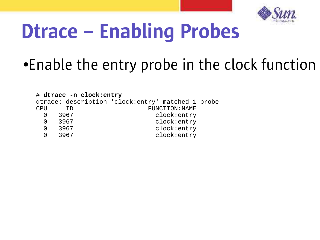

# Dtrace – Enabling Probes

#### ●Enable the entry probe in the clock function

# **dtrace -n clock:entry** dtrace: description 'clock:entry' matched 1 probe CPU ID FUNCTION: NAME 0 3967 clock: entry 0 3967 clock: entry 0 3967 clock: entry 0 3967 clock: entry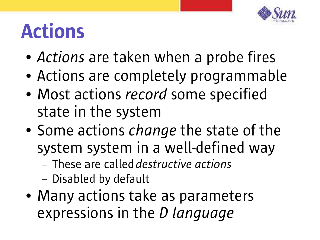

# Actions

- *Actions* are taken when a probe fires
- Actions are completely programmable
- Most actions *record* some specified state in the system
- Some actions *change* the state of the system system in a well-defined way
	- These are called *destructive actions*
	- Disabled by default
- Many actions take as parameters expressions in the *D language*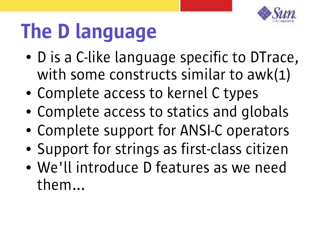

# The D language

- D is a C-like language specific to DTrace, with some constructs similar to awk(1)
- Complete access to kernel C types
- Complete access to statics and globals
- Complete support for ANSI-C operators
- Support for strings as first-class citizen
- We'll introduce D features as we need them...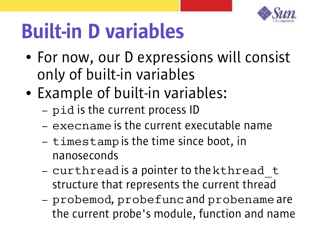

# Built-in D variables

- For now, our D expressions will consist only of built-in variables
- Example of built-in variables:
	- pid is the current process ID
	- execname is the current executable name
	- timestamp is the time since boot, in nanoseconds
	- curthread is a pointer to the kthread\_t structure that represents the current thread
	- probemod, probefunc and probename are the current probe's module, function and name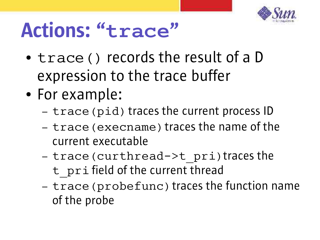

## Actions: "**trace**"

- trace() records the result of a D expression to the trace buffer
- For example:
	- trace(pid) traces the current process ID
	- trace(execname) traces the name of the current executable
	- trace(curthread->t\_pri) traces the t pri field of the current thread
	- trace(probefunc) traces the function name of the probe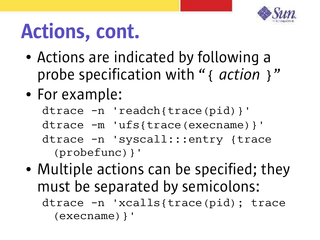

# Actions, cont.

- Actions are indicated by following a probe specification with "{ *action* }"
- For example:

dtrace -n 'readch{trace(pid)}'

dtrace -m 'ufs{trace(execname)}'

dtrace -n 'syscall:::entry {trace (probefunc)}'

• Multiple actions can be specified; they must be separated by semicolons: dtrace -n 'xcalls{trace(pid); trace (execname)}'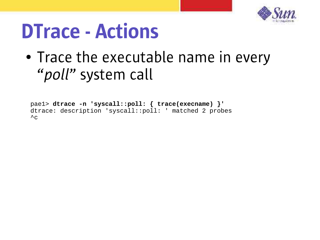

#### DTrace - Actions

#### • Trace the executable name in every "*poll*" system call

pae1> **dtrace -n 'syscall::poll: { trace(execname) }'** dtrace: description 'syscall::poll: ' matched 2 probes  $\mathcal{L}_{\text{C}}$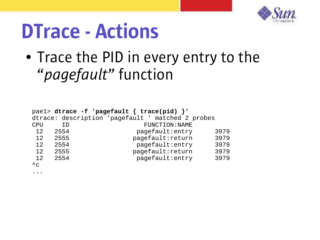

#### DTrace - Actions

...

#### • Trace the PID in every entry to the "*pagefault*" function

|                        |      | pael> dtrace -f 'pagefault $\{ \text{trace}(pid) \}$ ' |                       |      |
|------------------------|------|--------------------------------------------------------|-----------------------|------|
|                        |      | dtrace: description 'pagefault ' matched 2 probes      |                       |      |
| <b>CPU</b>             | ΙD   |                                                        | <b>FUNCTION: NAME</b> |      |
| 12                     | 2554 |                                                        | pagefault: entry      | 3979 |
| $12 \overline{ }$      | 2555 |                                                        | pagefault: return     | 3979 |
| 12                     | 2554 |                                                        | pagefault: entry      | 3979 |
| 12                     | 2555 |                                                        | pagefault: return     | 3979 |
| 12.                    | 2554 |                                                        | pagefault: entry      | 3979 |
| $\mathcal{L}_{\Omega}$ |      |                                                        |                       |      |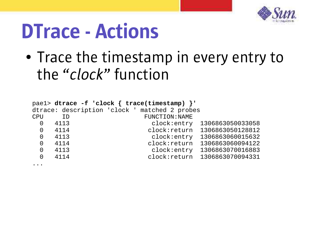

#### DTrace - Actions

#### • Trace the timestamp in every entry to the "*clock*" function

| pael> dtrace -f 'clock $\{$ trace(timestamp) $\}$ ' |                                               |  |  |                |  |                  |  |
|-----------------------------------------------------|-----------------------------------------------|--|--|----------------|--|------------------|--|
|                                                     | dtrace: description 'clock ' matched 2 probes |  |  |                |  |                  |  |
| <b>CPU</b>                                          | TD                                            |  |  | FUNCTION: NAME |  |                  |  |
| $\Omega$                                            | 4113                                          |  |  | clock: entry   |  | 1306863050033058 |  |
| $\Omega$                                            | 4114                                          |  |  | clock: return  |  | 1306863050128812 |  |
| $\Omega$                                            | 4113                                          |  |  | clock: entry   |  | 1306863060015632 |  |
| $\Omega$                                            | 4114                                          |  |  | clock: return  |  | 1306863060094122 |  |
| 0                                                   | 4113                                          |  |  | clock: entry   |  | 1306863070016883 |  |
| 0                                                   | 4114                                          |  |  | clock: return  |  | 1306863070094331 |  |
|                                                     |                                               |  |  |                |  |                  |  |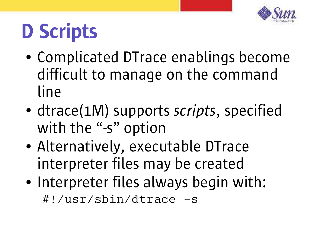

# D Scripts

- Complicated DTrace enablings become difficult to manage on the command line
- dtrace(1M) supports *scripts*, specified with the "-s" option
- Alternatively, executable DTrace interpreter files may be created
- Interpreter files always begin with: #!/usr/sbin/dtrace -s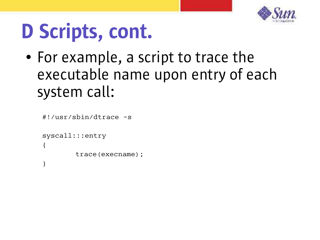

# D Scripts, cont.

• For example, a script to trace the executable name upon entry of each system call:

```
#!/usr/sbin/dtrace -s
syscall:::entry
{
         trace(execname);
}
```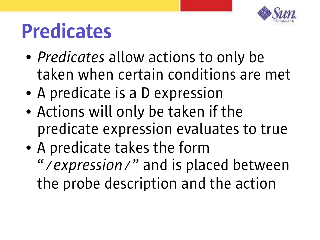

## Predicates

- *Predicates* allow actions to only be taken when certain conditions are met
- A predicate is a D expression
- Actions will only be taken if the predicate expression evaluates to true
- A predicate takes the form "/*expression*/" and is placed between the probe description and the action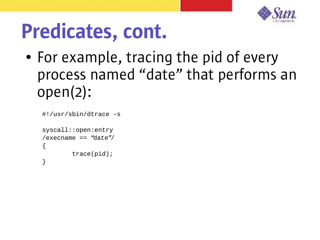

## Predicates, cont.

• For example, tracing the pid of every process named "date" that performs an open(2):

```
#!/usr/sbin/dtrace -s
syscall::open:entry
/execname == "date" /{
        trace(pid);
}
```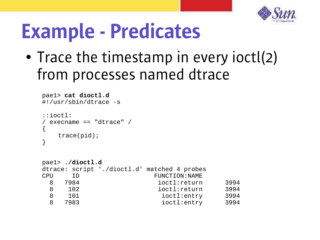

#### Example - Predicates

• Trace the timestamp in every joctl(2) from processes named dtrace

```
pae1> cat dioctl.d
#!/usr/sbin/dtrace -s
::ioctl:
  / execname == "dtrace" /
{
    trace(pid);
}
```

|            | pael> ./dioctl.d                             |                |      |
|------------|----------------------------------------------|----------------|------|
|            | dtrace: script './dioctl.d' matched 4 probes |                |      |
| <b>CPU</b> | .TD                                          | FUNCTION: NAME |      |
| 8          | 7984                                         | ioctl:return   | 3994 |
| 8          | 102                                          | ioctl:return   | 3994 |
| 8          | 101                                          | ioctl:entry    | 3994 |
| Я          | 7983                                         | ioctl:entry    | 3994 |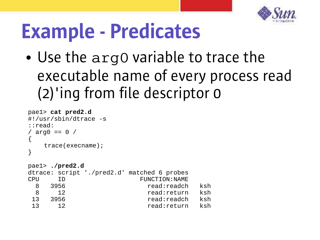

#### Example - Predicates

• Use the argo variable to trace the executable name of every process read (2)'ing from file descriptor 0

```
pae1> cat pred2.d
#!/usr/sbin/dtrace -s
::read:
\prime arg0 == 0 \prime{
     trace(execname);
}
```
pae1> **./pred2.d** dtrace: script './pred2.d' matched 6 probes CPU ID FUNCTION: NAME 8 3956 read:readch ksh 8 12 read:return ksh 13 3956 read:readch ksh 13 12 read:return ksh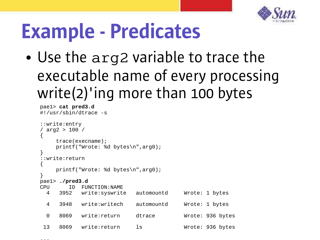

#### Example - Predicates

• Use the arg2 variable to trace the executable name of every processing write(2)'ing more than 100 bytes

```
pae1> cat pred3.d
#!/usr/sbin/dtrace -s
::write:entry
/ arg2 > 100 /
{
    trace(execname);
    printf("Wrote: %d bytes\n",arg0);
}
::write:return
{
    printf("Wrote: %d bytes\n",arg0);
}
pae1> ./pred3.d
CPU ID FUNCTION:NAME
   4 3952 write:syswrite automountd Wrote: 1 bytes
   4 3948 write:writech automountd Wrote: 1 bytes
   0 8069 write:return dtrace Wrote: 936 bytes
 13 8069 write:return ls Wrote: 936 bytes
```
...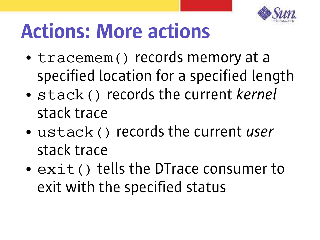

#### Actions: More actions

- tracemem() records memory at a specified location for a specified length
- stack() records the current *kernel* stack trace
- ustack() records the current *user* stack trace
- exit() tells the DTrace consumer to exit with the specified status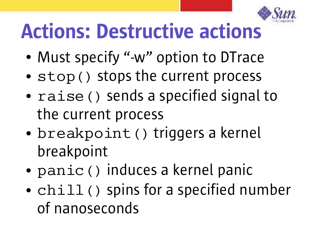

# Actions: Destructive actions

- Must specify "-w" option to DTrace
- stop() stops the current process
- raise() sends a specified signal to the current process
- breakpoint () triggers a kernel breakpoint
- panic() induces a kernel panic
- chill() spins for a specified number of nanoseconds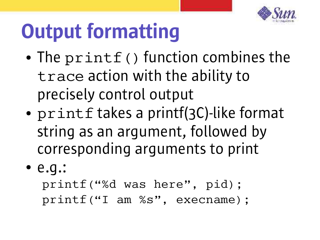

# Output formatting

- The  $print f()$  function combines the trace action with the ability to precisely control output
- printf takes a printf(3C)-like format string as an argument, followed by corresponding arguments to print
- e.g.:
	- printf("%d was here", pid);
	- printf("I am %s", execname);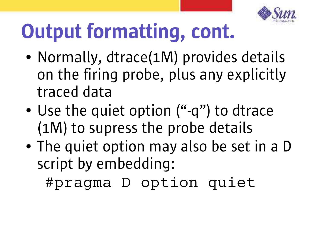

# Output formatting, cont.

- Normally, dtrace(1M) provides details on the firing probe, plus any explicitly traced data
- Use the quiet option ("-q") to dtrace (1M) to supress the probe details
- The quiet option may also be set in a D script by embedding:

#pragma D option quiet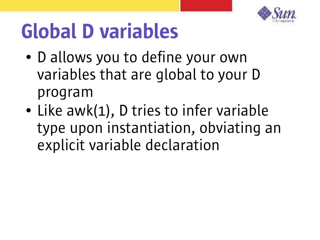

# Global D variables

- D allows you to define your own variables that are global to your D program
- Like awk(1), D tries to infer variable type upon instantiation, obviating an explicit variable declaration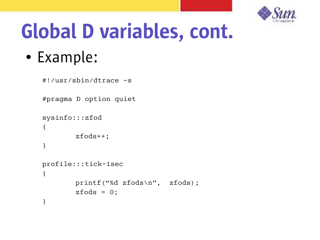

# Global D variables, cont.

● Example:

```
#!/usr/sbin/dtrace -s
#pragma D option quiet
sysinfo:::zfod
{
         zfods++;
}
profile:::tick-1sec
{
         printf("%d zfods\n", zfods);
        zfods = 0;
}
```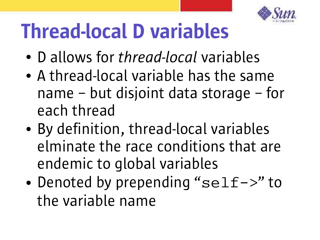

## Thread-local D variables

- D allows for *thread-local* variables
- A thread-local variable has the same name – but disjoint data storage – for each thread
- By definition, thread-local variables elminate the race conditions that are endemic to global variables
- Denoted by prepending " $self->"$  to the variable name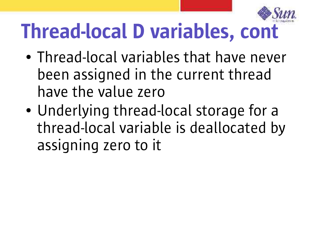

# Thread-local D variables, cont

- Thread-local variables that have never been assigned in the current thread have the value zero
- Underlying thread-local storage for a thread-local variable is deallocated by assigning zero to it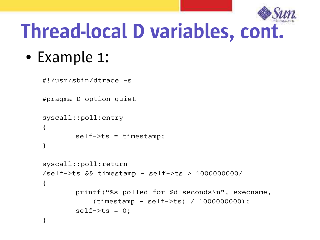

## Thread-local D variables, cont.

• Example 1:

 $\{$ 

}

{

}

```
#!/usr/sbin/dtrace -s
```

```
#pragma D option quiet
```

```
syscall::poll:entry
```

```
self->ts = timestamp;
```

```
syscall::poll:return
/self->ts && timestamp – self->ts > 1000000000/
```

```
 printf("%s polled for %d seconds\n", execname,
     (timestamp – self->ts) / 1000000000);
self->ts = 0;
```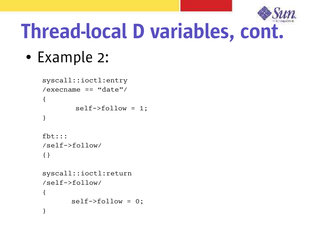

## Thread-local D variables, cont.

• Example 2:

```
syscall::ioctl:entry
/execname == "date"/
{
         self->follow = 1;
}
```

```
fbt:::
/self->follow/
{}
```

```
syscall::ioctl:return
/self->follow/
{
        self->follow = 0;
}
```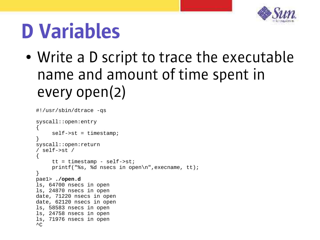

#### D Variables

• Write a D script to trace the executable name and amount of time spent in every open(2)

```
#!/usr/sbin/dtrace -qs
syscall::open:entry
{
     self->st = timestamp;
}
syscall::open:return
/ self->st /
{
     tt = timestamp - self->st;
     printf("%s, %d nsecs in open\n",execname, tt);
}
pae1> ./open.d 
ls, 64700 nsecs in open
ls, 24870 nsecs in open
date, 71220 nsecs in open
date, 62120 nsecs in open
ls, 58583 nsecs in open
ls, 24758 nsecs in open
ls, 71976 nsecs in open
\overline{\wedge}
```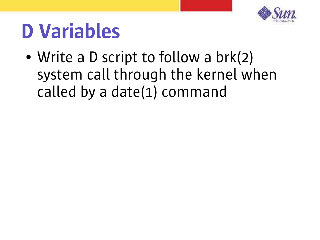

## D Variables

• Write a D script to follow a  $brk(2)$ system call through the kernel when called by a date(1) command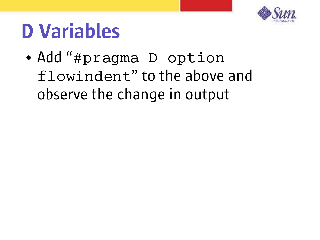

## D Variables

• Add "#pragma D option flowindent" to the above and observe the change in output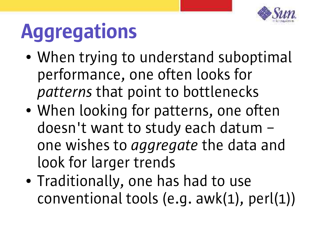

# **Aggregations**

- When trying to understand suboptimal performance, one often looks for *patterns* that point to bottlenecks
- When looking for patterns, one often doesn't want to study each datum – one wishes to *aggregate* the data and look for larger trends
- Traditionally, one has had to use conventional tools (e.g. awk(1), perl(1))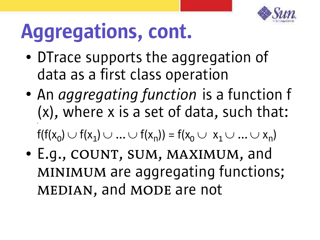

- DTrace supports the aggregation of data as a first class operation
- An *aggregating function* is a function f (x), where x is a set of data, such that: ●

 $f(f(x_0) \cup f(x_1) \cup ... \cup f(x_n)) = f(x_0 \cup x_1 \cup ... \cup x_n)$ 

● E.g., count, sum, maximum, and MINIMUM are aggregating functions; MEDIAN, and MODE are not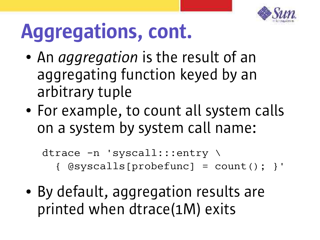

- An *aggregation* is the result of an aggregating function keyed by an arbitrary tuple
- For example, to count all system calls on a system by system call name:

```
dtrace -n 'syscall:::entry \
  { @syscalls[probefunc] = count(); }'
```
• By default, aggregation results are printed when dtrace(1M) exits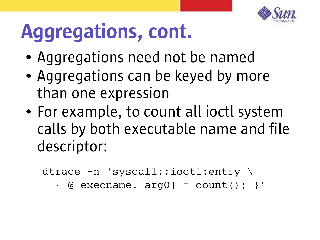

- Aggregations need not be named
- Aggregations can be keyed by more than one expression
- For example, to count all joctl system calls by both executable name and file descriptor:

dtrace -n 'syscall::ioctl:entry \

 ${e$  [execname, arg0] = count(); }'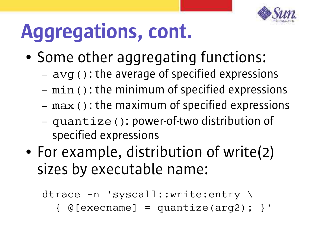

- Some other aggregating functions:
	- avg(): the average of specified expressions
	- min(): the minimum of specified expressions
	- max(): the maximum of specified expressions
	- quantize(): power-of-two distribution of specified expressions
- For example, distribution of write(2) sizes by executable name:

```
dtrace -n 'syscall::write:entry \
  {e[execname]} = quantize(arg2); }
```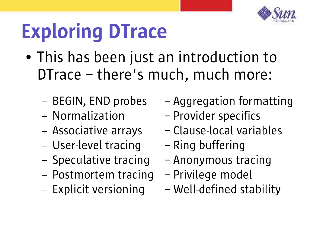

# Exploring DTrace

- This has been just an introduction to DTrace – there's much, much more:
	-
	-
	-
	- User-level tracing Ring buffering
	- Speculative tracing Anonymous tracing
	- Postmortem tracing Privilege model
	-
- BEGIN, END probes Aggregation formatting
- Normalization Provider specifics
- Associative arrays Clause-local variables
	-
	-
	-
- Explicit versioning Well-defined stability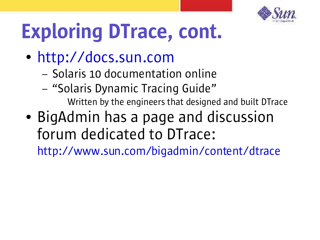

# Exploring DTrace, cont.

- http://docs.sun.com
	- Solaris 10 documentation online
	- "Solaris Dynamic Tracing Guide" Written by the engineers that designed and built DTrace
- BigAdmin has a page and discussion forum dedicated to DTrace:

http://www.sun.com/bigadmin/content/dtrace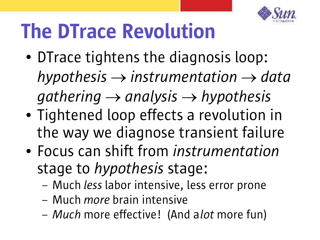

# The DTrace Revolution

- DTrace tightens the diagnosis loop:  $hypothesis \rightarrow instruction \rightarrow data$ *gathering analysis hypothesis*
- Tightened loop effects a revolution in the way we diagnose transient failure
- Focus can shift from *instrumentation* stage to *hypothesis* stage:
	- Much *less* labor intensive, less error prone
	- Much *more* brain intensive
	- *Much* more effective! (And a *lot* more fun)